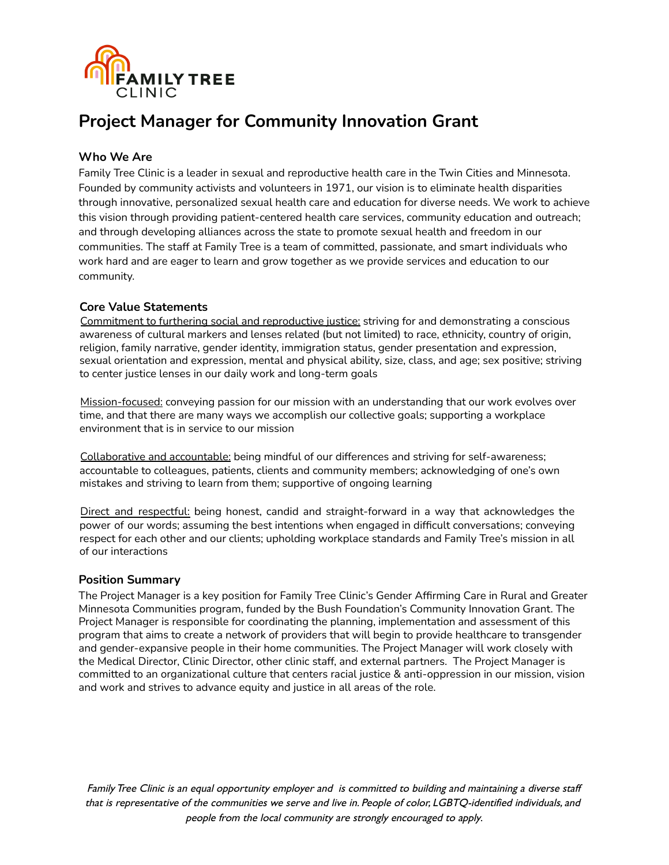

## **Who We Are**

Family Tree Clinic is a leader in sexual and reproductive health care in the Twin Cities and Minnesota. Founded by community activists and volunteers in 1971, our vision is to eliminate health disparities through innovative, personalized sexual health care and education for diverse needs. We work to achieve this vision through providing patient-centered health care services, community education and outreach; and through developing alliances across the state to promote sexual health and freedom in our communities. The staff at Family Tree is a team of committed, passionate, and smart individuals who work hard and are eager to learn and grow together as we provide services and education to our community.

## **Core Value Statements**

Commitment to furthering social and reproductive justice: striving for and demonstrating a conscious awareness of cultural markers and lenses related (but not limited) to race, ethnicity, country of origin, religion, family narrative, gender identity, immigration status, gender presentation and expression, sexual orientation and expression, mental and physical ability, size, class, and age; sex positive; striving to center justice lenses in our daily work and long-term goals

Mission-focused: conveying passion for our mission with an understanding that our work evolves over time, and that there are many ways we accomplish our collective goals; supporting a workplace environment that is in service to our mission

Collaborative and accountable: being mindful of our differences and striving for self-awareness; accountable to colleagues, patients, clients and community members; acknowledging of one's own mistakes and striving to learn from them; supportive of ongoing learning

Direct and respectful: being honest, candid and straight-forward in a way that acknowledges the power of our words; assuming the best intentions when engaged in difficult conversations; conveying respect for each other and our clients; upholding workplace standards and Family Tree's mission in all of our interactions

## **Position Summary**

The Project Manager is a key position for Family Tree Clinic's Gender Affirming Care in Rural and Greater Minnesota Communities program, funded by the Bush Foundation's Community Innovation Grant. The Project Manager is responsible for coordinating the planning, implementation and assessment of this program that aims to create a network of providers that will begin to provide healthcare to transgender and gender-expansive people in their home communities. The Project Manager will work closely with the Medical Director, Clinic Director, other clinic staff, and external partners. The Project Manager is committed to an organizational culture that centers racial justice & anti-oppression in our mission, vision and work and strives to advance equity and justice in all areas of the role.

FamilyTree Clinic is an equal opportunity employer and is committed to building and maintaining <sup>a</sup> diverse staff that is representative of the communities we serve and live in. People of color, LGBTQ-identified individuals, and people from the local community are strongly encouraged to apply.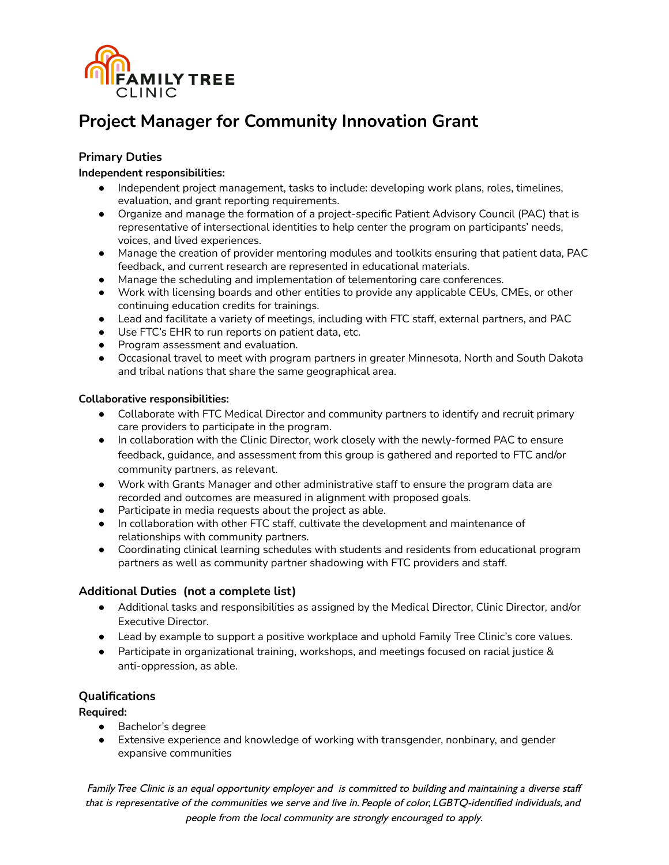

## **Primary Duties**

## **Independent responsibilities:**

- Independent project management, tasks to include: developing work plans, roles, timelines, evaluation, and grant reporting requirements.
- Organize and manage the formation of a project-specific Patient Advisory Council (PAC) that is representative of intersectional identities to help center the program on participants' needs, voices, and lived experiences.
- Manage the creation of provider mentoring modules and toolkits ensuring that patient data, PAC feedback, and current research are represented in educational materials.
- Manage the scheduling and implementation of telementoring care conferences.
- Work with licensing boards and other entities to provide any applicable CEUs, CMEs, or other continuing education credits for trainings.
- Lead and facilitate a variety of meetings, including with FTC staff, external partners, and PAC
- Use FTC's EHR to run reports on patient data, etc.
- Program assessment and evaluation.
- Occasional travel to meet with program partners in greater Minnesota, North and South Dakota and tribal nations that share the same geographical area.

## **Collaborative responsibilities:**

- Collaborate with FTC Medical Director and community partners to identify and recruit primary care providers to participate in the program.
- In collaboration with the Clinic Director, work closely with the newly-formed PAC to ensure feedback, guidance, and assessment from this group is gathered and reported to FTC and/or community partners, as relevant.
- Work with Grants Manager and other administrative staff to ensure the program data are recorded and outcomes are measured in alignment with proposed goals.
- Participate in media requests about the project as able.
- In collaboration with other FTC staff, cultivate the development and maintenance of relationships with community partners.
- Coordinating clinical learning schedules with students and residents from educational program partners as well as community partner shadowing with FTC providers and staff.

## **Additional Duties (not a complete list)**

- Additional tasks and responsibilities as assigned by the Medical Director, Clinic Director, and/or Executive Director.
- Lead by example to support a positive workplace and uphold Family Tree Clinic's core values.
- Participate in organizational training, workshops, and meetings focused on racial justice & anti-oppression, as able.

## **Qualifications**

## **Required:**

- Bachelor's degree
- Extensive experience and knowledge of working with transgender, nonbinary, and gender expansive communities

FamilyTree Clinic is an equal opportunity employer and is committed to building and maintaining <sup>a</sup> diverse staff that is representative of the communities we serve and live in. People of color, LGBTQ-identified individuals, and people from the local community are strongly encouraged to apply.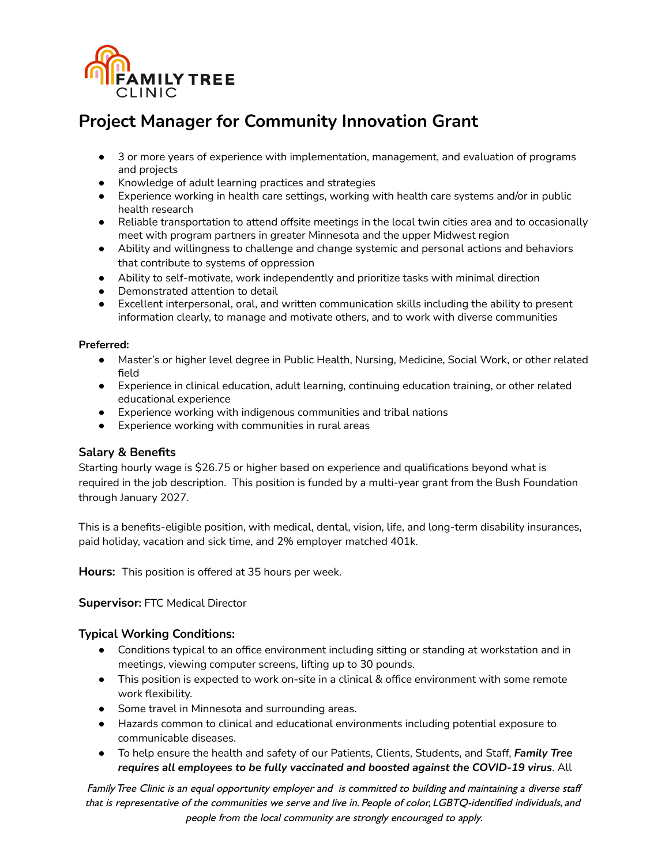

- 3 or more years of experience with implementation, management, and evaluation of programs and projects
- Knowledge of adult learning practices and strategies
- Experience working in health care settings, working with health care systems and/or in public health research
- Reliable transportation to attend offsite meetings in the local twin cities area and to occasionally meet with program partners in greater Minnesota and the upper Midwest region
- Ability and willingness to challenge and change systemic and personal actions and behaviors that contribute to systems of oppression
- Ability to self-motivate, work independently and prioritize tasks with minimal direction
- Demonstrated attention to detail
- Excellent interpersonal, oral, and written communication skills including the ability to present information clearly, to manage and motivate others, and to work with diverse communities

#### **Preferred:**

- Master's or higher level degree in Public Health, Nursing, Medicine, Social Work, or other related field
- Experience in clinical education, adult learning, continuing education training, or other related educational experience
- Experience working with indigenous communities and tribal nations
- **●** Experience working with communities in rural areas

## **Salary & Benefits**

Starting hourly wage is \$26.75 or higher based on experience and qualifications beyond what is required in the job description. This position is funded by a multi-year grant from the Bush Foundation through January 2027.

This is a benefits-eligible position, with medical, dental, vision, life, and long-term disability insurances, paid holiday, vacation and sick time, and 2% employer matched 401k.

**Hours:** This position is offered at 35 hours per week.

## **Supervisor:** FTC Medical Director

## **Typical Working Conditions:**

- Conditions typical to an office environment including sitting or standing at workstation and in meetings, viewing computer screens, lifting up to 30 pounds.
- This position is expected to work on-site in a clinical & office environment with some remote work flexibility.
- Some travel in Minnesota and surrounding areas.
- Hazards common to clinical and educational environments including potential exposure to communicable diseases.
- To help ensure the health and safety of our Patients, Clients, Students, and Staff, *Family Tree requires all employees to be fully vaccinated and boosted against the COVID-19 virus*. All

FamilyTree Clinic is an equal opportunity employer and is committed to building and maintaining <sup>a</sup> diverse staff that is representative of the communities we serve and live in. People of color, LGBTQ-identified individuals, and people from the local community are strongly encouraged to apply.